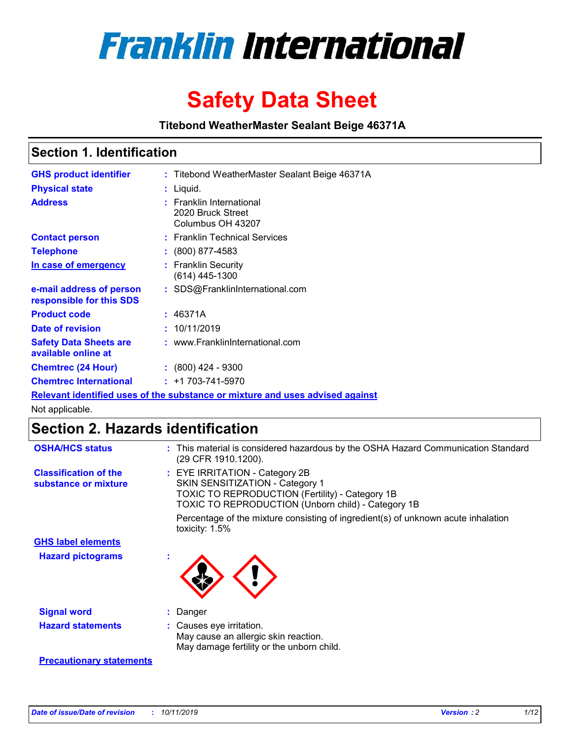

# **Safety Data Sheet**

**Titebond WeatherMaster Sealant Beige 46371A**

## **Section 1. Identification**

| <b>GHS product identifier</b>                        | : Titebond WeatherMaster Sealant Beige 46371A                                 |
|------------------------------------------------------|-------------------------------------------------------------------------------|
| <b>Physical state</b>                                | : Liquid.                                                                     |
| <b>Address</b>                                       | : Franklin International<br>2020 Bruck Street<br>Columbus OH 43207            |
| <b>Contact person</b>                                | : Franklin Technical Services                                                 |
| <b>Telephone</b>                                     | $\colon$ (800) 877-4583                                                       |
| In case of emergency                                 | : Franklin Security<br>(614) 445-1300                                         |
| e-mail address of person<br>responsible for this SDS | : SDS@FranklinInternational.com                                               |
| <b>Product code</b>                                  | : 46371A                                                                      |
| Date of revision                                     | : 10/11/2019                                                                  |
| <b>Safety Data Sheets are</b><br>available online at | : www.FranklinInternational.com                                               |
| <b>Chemtrec (24 Hour)</b>                            | $\div$ (800) 424 - 9300                                                       |
| <b>Chemtrec International</b>                        | $: +1703 - 741 - 5970$                                                        |
|                                                      | Relevant identified uses of the substance or mixture and uses advised against |

Not applicable.

# **Section 2. Hazards identification**

| <b>OSHA/HCS status</b>                               | : This material is considered hazardous by the OSHA Hazard Communication Standard<br>(29 CFR 1910.1200).                                                                          |
|------------------------------------------------------|-----------------------------------------------------------------------------------------------------------------------------------------------------------------------------------|
| <b>Classification of the</b><br>substance or mixture | : EYE IRRITATION - Category 2B<br>SKIN SENSITIZATION - Category 1<br><b>TOXIC TO REPRODUCTION (Fertility) - Category 1B</b><br>TOXIC TO REPRODUCTION (Unborn child) - Category 1B |
|                                                      | Percentage of the mixture consisting of ingredient(s) of unknown acute inhalation<br>toxicity: $1.5\%$                                                                            |
| <b>GHS label elements</b>                            |                                                                                                                                                                                   |
| <b>Hazard pictograms</b>                             |                                                                                                                                                                                   |
| <b>Signal word</b>                                   | : Danger                                                                                                                                                                          |
| <b>Hazard statements</b>                             | : Causes eye irritation.<br>May cause an allergic skin reaction.<br>May damage fertility or the unborn child.                                                                     |
| <b>Precautionary statements</b>                      |                                                                                                                                                                                   |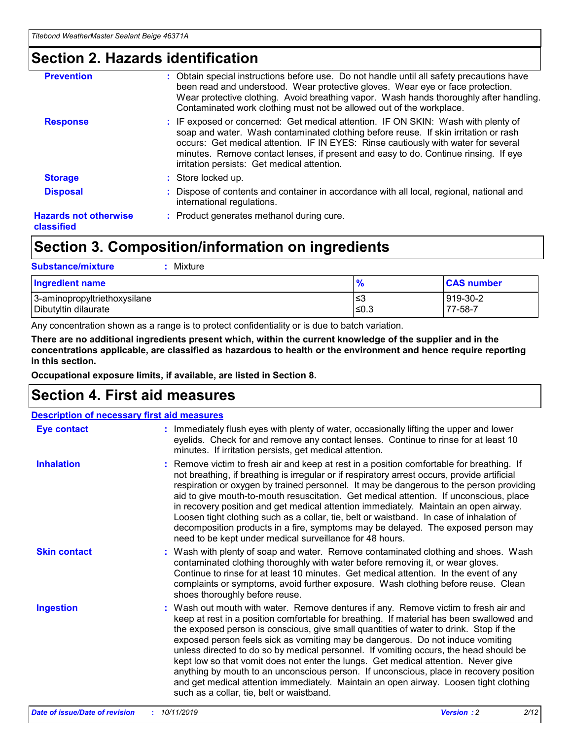# **Section 2. Hazards identification**

| <b>Prevention</b>                          | : Obtain special instructions before use. Do not handle until all safety precautions have<br>been read and understood. Wear protective gloves. Wear eye or face protection.<br>Wear protective clothing. Avoid breathing vapor. Wash hands thoroughly after handling.<br>Contaminated work clothing must not be allowed out of the workplace.                                                        |
|--------------------------------------------|------------------------------------------------------------------------------------------------------------------------------------------------------------------------------------------------------------------------------------------------------------------------------------------------------------------------------------------------------------------------------------------------------|
| <b>Response</b>                            | : IF exposed or concerned: Get medical attention. IF ON SKIN: Wash with plenty of<br>soap and water. Wash contaminated clothing before reuse. If skin irritation or rash<br>occurs: Get medical attention. IF IN EYES: Rinse cautiously with water for several<br>minutes. Remove contact lenses, if present and easy to do. Continue rinsing. If eye<br>irritation persists: Get medical attention. |
| <b>Storage</b>                             | : Store locked up.                                                                                                                                                                                                                                                                                                                                                                                   |
| <b>Disposal</b>                            | : Dispose of contents and container in accordance with all local, regional, national and<br>international regulations.                                                                                                                                                                                                                                                                               |
| <b>Hazards not otherwise</b><br>classified | : Product generates methanol during cure.                                                                                                                                                                                                                                                                                                                                                            |
|                                            |                                                                                                                                                                                                                                                                                                                                                                                                      |

# **Section 3. Composition/information on ingredients**

| <b>Substance/mixture</b><br>Mixture                  |                   |                     |
|------------------------------------------------------|-------------------|---------------------|
| <b>Ingredient name</b>                               | $\frac{9}{6}$     | <b>CAS number</b>   |
| 3-aminopropyltriethoxysilane<br>Dibutyltin dilaurate | l≤3<br>$\leq 0.3$ | 919-30-2<br>77-58-7 |

Any concentration shown as a range is to protect confidentiality or is due to batch variation.

**There are no additional ingredients present which, within the current knowledge of the supplier and in the concentrations applicable, are classified as hazardous to health or the environment and hence require reporting in this section.**

**Occupational exposure limits, if available, are listed in Section 8.**

# **Section 4. First aid measures**

| <b>Description of necessary first aid measures</b> |                                                                                                                                                                                                                                                                                                                                                                                                                                                                                                                                                                                                                                                                                                                                                                           |  |  |  |
|----------------------------------------------------|---------------------------------------------------------------------------------------------------------------------------------------------------------------------------------------------------------------------------------------------------------------------------------------------------------------------------------------------------------------------------------------------------------------------------------------------------------------------------------------------------------------------------------------------------------------------------------------------------------------------------------------------------------------------------------------------------------------------------------------------------------------------------|--|--|--|
| <b>Eye contact</b>                                 | : Immediately flush eyes with plenty of water, occasionally lifting the upper and lower<br>eyelids. Check for and remove any contact lenses. Continue to rinse for at least 10<br>minutes. If irritation persists, get medical attention.                                                                                                                                                                                                                                                                                                                                                                                                                                                                                                                                 |  |  |  |
| <b>Inhalation</b>                                  | : Remove victim to fresh air and keep at rest in a position comfortable for breathing. If<br>not breathing, if breathing is irregular or if respiratory arrest occurs, provide artificial<br>respiration or oxygen by trained personnel. It may be dangerous to the person providing<br>aid to give mouth-to-mouth resuscitation. Get medical attention. If unconscious, place<br>in recovery position and get medical attention immediately. Maintain an open airway.<br>Loosen tight clothing such as a collar, tie, belt or waistband. In case of inhalation of<br>decomposition products in a fire, symptoms may be delayed. The exposed person may<br>need to be kept under medical surveillance for 48 hours.                                                       |  |  |  |
| <b>Skin contact</b>                                | : Wash with plenty of soap and water. Remove contaminated clothing and shoes. Wash<br>contaminated clothing thoroughly with water before removing it, or wear gloves.<br>Continue to rinse for at least 10 minutes. Get medical attention. In the event of any<br>complaints or symptoms, avoid further exposure. Wash clothing before reuse. Clean<br>shoes thoroughly before reuse.                                                                                                                                                                                                                                                                                                                                                                                     |  |  |  |
| <b>Ingestion</b>                                   | : Wash out mouth with water. Remove dentures if any. Remove victim to fresh air and<br>keep at rest in a position comfortable for breathing. If material has been swallowed and<br>the exposed person is conscious, give small quantities of water to drink. Stop if the<br>exposed person feels sick as vomiting may be dangerous. Do not induce vomiting<br>unless directed to do so by medical personnel. If vomiting occurs, the head should be<br>kept low so that vomit does not enter the lungs. Get medical attention. Never give<br>anything by mouth to an unconscious person. If unconscious, place in recovery position<br>and get medical attention immediately. Maintain an open airway. Loosen tight clothing<br>such as a collar, tie, belt or waistband. |  |  |  |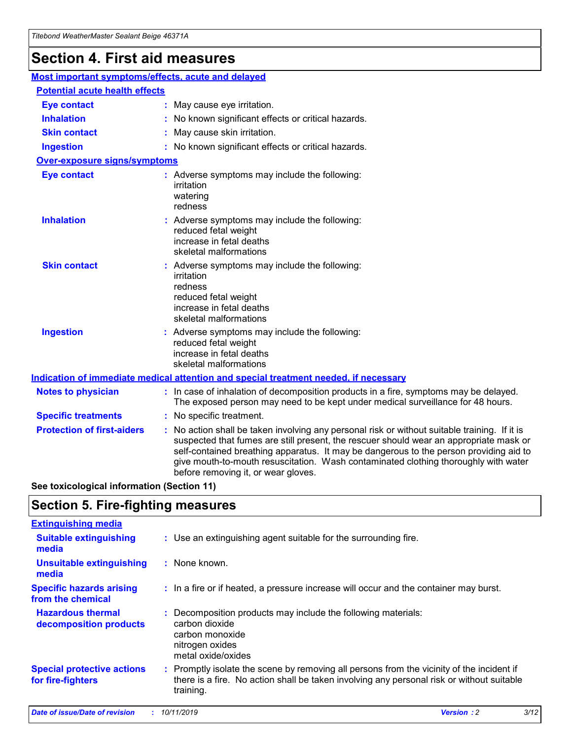# **Section 4. First aid measures**

| Most important symptoms/effects, acute and delayed                                          |                                                                                                                             |                                                                                                                                                                                                                                                                                                                                                                                                                 |  |
|---------------------------------------------------------------------------------------------|-----------------------------------------------------------------------------------------------------------------------------|-----------------------------------------------------------------------------------------------------------------------------------------------------------------------------------------------------------------------------------------------------------------------------------------------------------------------------------------------------------------------------------------------------------------|--|
| <b>Potential acute health effects</b>                                                       |                                                                                                                             |                                                                                                                                                                                                                                                                                                                                                                                                                 |  |
| <b>Eye contact</b>                                                                          |                                                                                                                             | : May cause eye irritation.                                                                                                                                                                                                                                                                                                                                                                                     |  |
| <b>Inhalation</b>                                                                           |                                                                                                                             | : No known significant effects or critical hazards.                                                                                                                                                                                                                                                                                                                                                             |  |
| <b>Skin contact</b>                                                                         |                                                                                                                             | : May cause skin irritation.                                                                                                                                                                                                                                                                                                                                                                                    |  |
| <b>Ingestion</b>                                                                            |                                                                                                                             | : No known significant effects or critical hazards.                                                                                                                                                                                                                                                                                                                                                             |  |
| <b>Over-exposure signs/symptoms</b>                                                         |                                                                                                                             |                                                                                                                                                                                                                                                                                                                                                                                                                 |  |
| <b>Eye contact</b>                                                                          |                                                                                                                             | : Adverse symptoms may include the following:<br>irritation<br>watering<br>redness                                                                                                                                                                                                                                                                                                                              |  |
| <b>Inhalation</b>                                                                           |                                                                                                                             | : Adverse symptoms may include the following:<br>reduced fetal weight<br>increase in fetal deaths<br>skeletal malformations                                                                                                                                                                                                                                                                                     |  |
| <b>Skin contact</b>                                                                         |                                                                                                                             | : Adverse symptoms may include the following:<br>irritation<br>redness<br>reduced fetal weight<br>increase in fetal deaths<br>skeletal malformations                                                                                                                                                                                                                                                            |  |
| <b>Ingestion</b>                                                                            | : Adverse symptoms may include the following:<br>reduced fetal weight<br>increase in fetal deaths<br>skeletal malformations |                                                                                                                                                                                                                                                                                                                                                                                                                 |  |
| <b>Indication of immediate medical attention and special treatment needed, if necessary</b> |                                                                                                                             |                                                                                                                                                                                                                                                                                                                                                                                                                 |  |
| <b>Notes to physician</b>                                                                   |                                                                                                                             | : In case of inhalation of decomposition products in a fire, symptoms may be delayed.<br>The exposed person may need to be kept under medical surveillance for 48 hours.                                                                                                                                                                                                                                        |  |
| <b>Specific treatments</b>                                                                  |                                                                                                                             | : No specific treatment.                                                                                                                                                                                                                                                                                                                                                                                        |  |
| <b>Protection of first-aiders</b>                                                           |                                                                                                                             | : No action shall be taken involving any personal risk or without suitable training. If it is<br>suspected that fumes are still present, the rescuer should wear an appropriate mask or<br>self-contained breathing apparatus. It may be dangerous to the person providing aid to<br>give mouth-to-mouth resuscitation. Wash contaminated clothing thoroughly with water<br>before removing it, or wear gloves. |  |

**See toxicological information (Section 11)**

# **Section 5. Fire-fighting measures**

| <b>Extinguishing media</b>                             |                                                                                                                                                                                                     |
|--------------------------------------------------------|-----------------------------------------------------------------------------------------------------------------------------------------------------------------------------------------------------|
| <b>Suitable extinguishing</b><br>media                 | : Use an extinguishing agent suitable for the surrounding fire.                                                                                                                                     |
| <b>Unsuitable extinguishing</b><br>media               | $:$ None known.                                                                                                                                                                                     |
| <b>Specific hazards arising</b><br>from the chemical   | : In a fire or if heated, a pressure increase will occur and the container may burst.                                                                                                               |
| <b>Hazardous thermal</b><br>decomposition products     | : Decomposition products may include the following materials:<br>carbon dioxide<br>carbon monoxide<br>nitrogen oxides<br>metal oxide/oxides                                                         |
| <b>Special protective actions</b><br>for fire-fighters | : Promptly isolate the scene by removing all persons from the vicinity of the incident if<br>there is a fire. No action shall be taken involving any personal risk or without suitable<br>training. |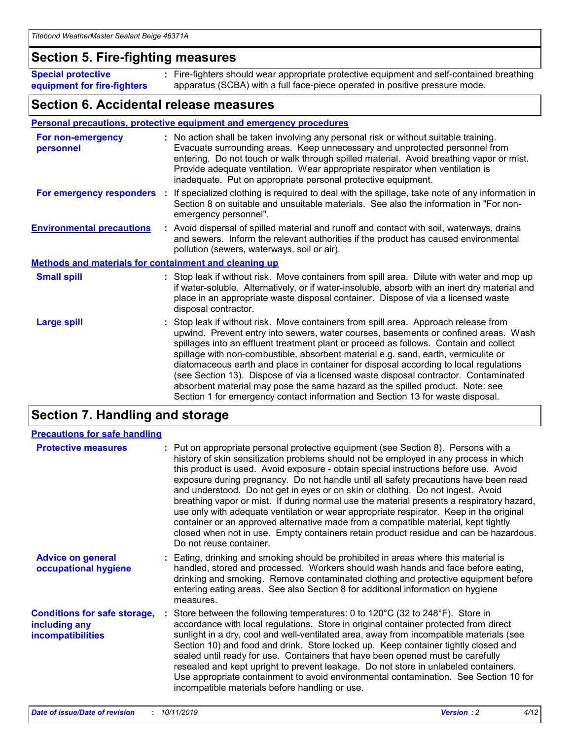## **Section 5. Fire-fighting measures**

**Special protective equipment for fire-fighters** Fire-fighters should wear appropriate protective equipment and self-contained breathing **:** apparatus (SCBA) with a full face-piece operated in positive pressure mode.

## **Section 6. Accidental release measures**

#### **Personal precautions, protective equipment and emergency procedures**

| For non-emergency<br>personnel                               | : No action shall be taken involving any personal risk or without suitable training.<br>Evacuate surrounding areas. Keep unnecessary and unprotected personnel from<br>entering. Do not touch or walk through spilled material. Avoid breathing vapor or mist.<br>Provide adequate ventilation. Wear appropriate respirator when ventilation is<br>inadequate. Put on appropriate personal protective equipment.                                                                                                                                                                                                                                                                                             |
|--------------------------------------------------------------|--------------------------------------------------------------------------------------------------------------------------------------------------------------------------------------------------------------------------------------------------------------------------------------------------------------------------------------------------------------------------------------------------------------------------------------------------------------------------------------------------------------------------------------------------------------------------------------------------------------------------------------------------------------------------------------------------------------|
|                                                              | For emergency responders : If specialized clothing is required to deal with the spillage, take note of any information in<br>Section 8 on suitable and unsuitable materials. See also the information in "For non-<br>emergency personnel".                                                                                                                                                                                                                                                                                                                                                                                                                                                                  |
| <b>Environmental precautions</b>                             | : Avoid dispersal of spilled material and runoff and contact with soil, waterways, drains<br>and sewers. Inform the relevant authorities if the product has caused environmental<br>pollution (sewers, waterways, soil or air).                                                                                                                                                                                                                                                                                                                                                                                                                                                                              |
| <b>Methods and materials for containment and cleaning up</b> |                                                                                                                                                                                                                                                                                                                                                                                                                                                                                                                                                                                                                                                                                                              |
| <b>Small spill</b>                                           | : Stop leak if without risk. Move containers from spill area. Dilute with water and mop up<br>if water-soluble. Alternatively, or if water-insoluble, absorb with an inert dry material and<br>place in an appropriate waste disposal container. Dispose of via a licensed waste<br>disposal contractor.                                                                                                                                                                                                                                                                                                                                                                                                     |
| <b>Large spill</b>                                           | : Stop leak if without risk. Move containers from spill area. Approach release from<br>upwind. Prevent entry into sewers, water courses, basements or confined areas. Wash<br>spillages into an effluent treatment plant or proceed as follows. Contain and collect<br>spillage with non-combustible, absorbent material e.g. sand, earth, vermiculite or<br>diatomaceous earth and place in container for disposal according to local regulations<br>(see Section 13). Dispose of via a licensed waste disposal contractor. Contaminated<br>absorbent material may pose the same hazard as the spilled product. Note: see<br>Section 1 for emergency contact information and Section 13 for waste disposal. |

# **Section 7. Handling and storage**

| <b>Precautions for safe handling</b>                                             |                                                                                                                                                                                                                                                                                                                                                                                                                                                                                                                                                                                                                                                                                                                                                                                                                                                  |
|----------------------------------------------------------------------------------|--------------------------------------------------------------------------------------------------------------------------------------------------------------------------------------------------------------------------------------------------------------------------------------------------------------------------------------------------------------------------------------------------------------------------------------------------------------------------------------------------------------------------------------------------------------------------------------------------------------------------------------------------------------------------------------------------------------------------------------------------------------------------------------------------------------------------------------------------|
| <b>Protective measures</b>                                                       | : Put on appropriate personal protective equipment (see Section 8). Persons with a<br>history of skin sensitization problems should not be employed in any process in which<br>this product is used. Avoid exposure - obtain special instructions before use. Avoid<br>exposure during pregnancy. Do not handle until all safety precautions have been read<br>and understood. Do not get in eyes or on skin or clothing. Do not ingest. Avoid<br>breathing vapor or mist. If during normal use the material presents a respiratory hazard,<br>use only with adequate ventilation or wear appropriate respirator. Keep in the original<br>container or an approved alternative made from a compatible material, kept tightly<br>closed when not in use. Empty containers retain product residue and can be hazardous.<br>Do not reuse container. |
| <b>Advice on general</b><br>occupational hygiene                                 | : Eating, drinking and smoking should be prohibited in areas where this material is<br>handled, stored and processed. Workers should wash hands and face before eating,<br>drinking and smoking. Remove contaminated clothing and protective equipment before<br>entering eating areas. See also Section 8 for additional information on hygiene<br>measures.                                                                                                                                                                                                                                                                                                                                                                                                                                                                                    |
| <b>Conditions for safe storage,</b><br>including any<br><b>incompatibilities</b> | Store between the following temperatures: 0 to 120 $\degree$ C (32 to 248 $\degree$ F). Store in<br>accordance with local regulations. Store in original container protected from direct<br>sunlight in a dry, cool and well-ventilated area, away from incompatible materials (see<br>Section 10) and food and drink. Store locked up. Keep container tightly closed and<br>sealed until ready for use. Containers that have been opened must be carefully<br>resealed and kept upright to prevent leakage. Do not store in unlabeled containers.<br>Use appropriate containment to avoid environmental contamination. See Section 10 for<br>incompatible materials before handling or use.                                                                                                                                                     |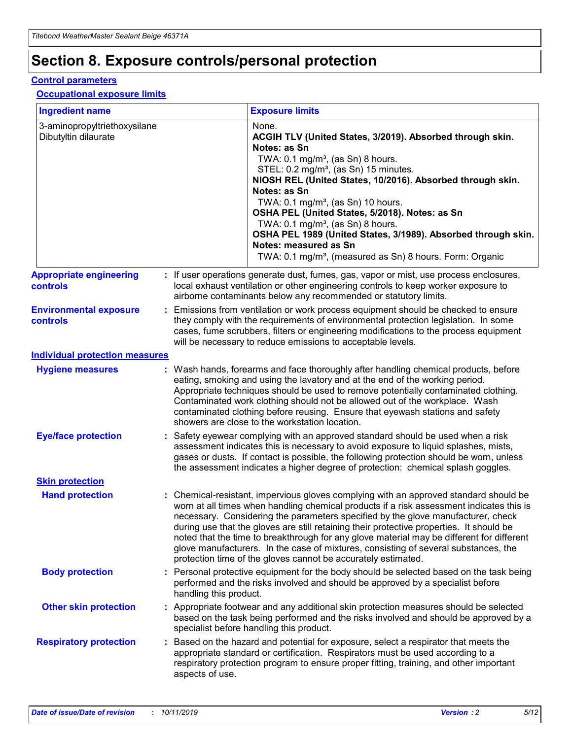# **Section 8. Exposure controls/personal protection**

#### **Control parameters**

#### **Occupational exposure limits**

| <b>Ingredient name</b>                               |    |                        | <b>Exposure limits</b>                                                                                                                                                                                                                                                                                                                                                                                                                                                                                                                                                                                                 |
|------------------------------------------------------|----|------------------------|------------------------------------------------------------------------------------------------------------------------------------------------------------------------------------------------------------------------------------------------------------------------------------------------------------------------------------------------------------------------------------------------------------------------------------------------------------------------------------------------------------------------------------------------------------------------------------------------------------------------|
| 3-aminopropyltriethoxysilane<br>Dibutyltin dilaurate |    |                        | None.<br>ACGIH TLV (United States, 3/2019). Absorbed through skin.<br>Notes: as Sn<br>TWA: 0.1 mg/m <sup>3</sup> , (as Sn) 8 hours.<br>STEL: 0.2 mg/m <sup>3</sup> , (as Sn) 15 minutes.<br>NIOSH REL (United States, 10/2016). Absorbed through skin.<br>Notes: as Sn<br>TWA: 0.1 mg/m <sup>3</sup> , (as Sn) 10 hours.<br>OSHA PEL (United States, 5/2018). Notes: as Sn<br>TWA: $0.1 \text{ mg/m}^3$ , (as Sn) 8 hours.<br>OSHA PEL 1989 (United States, 3/1989). Absorbed through skin.<br>Notes: measured as Sn<br>TWA: 0.1 mg/m <sup>3</sup> , (measured as Sn) 8 hours. Form: Organic                           |
| <b>Appropriate engineering</b><br>controls           |    |                        | : If user operations generate dust, fumes, gas, vapor or mist, use process enclosures,<br>local exhaust ventilation or other engineering controls to keep worker exposure to<br>airborne contaminants below any recommended or statutory limits.                                                                                                                                                                                                                                                                                                                                                                       |
| <b>Environmental exposure</b><br><b>controls</b>     |    |                        | Emissions from ventilation or work process equipment should be checked to ensure<br>they comply with the requirements of environmental protection legislation. In some<br>cases, fume scrubbers, filters or engineering modifications to the process equipment<br>will be necessary to reduce emissions to acceptable levels.                                                                                                                                                                                                                                                                                          |
| <b>Individual protection measures</b>                |    |                        |                                                                                                                                                                                                                                                                                                                                                                                                                                                                                                                                                                                                                        |
| <b>Hygiene measures</b>                              |    |                        | : Wash hands, forearms and face thoroughly after handling chemical products, before<br>eating, smoking and using the lavatory and at the end of the working period.<br>Appropriate techniques should be used to remove potentially contaminated clothing.<br>Contaminated work clothing should not be allowed out of the workplace. Wash<br>contaminated clothing before reusing. Ensure that eyewash stations and safety<br>showers are close to the workstation location.                                                                                                                                            |
| <b>Eye/face protection</b>                           |    |                        | : Safety eyewear complying with an approved standard should be used when a risk<br>assessment indicates this is necessary to avoid exposure to liquid splashes, mists,<br>gases or dusts. If contact is possible, the following protection should be worn, unless<br>the assessment indicates a higher degree of protection: chemical splash goggles.                                                                                                                                                                                                                                                                  |
| <b>Skin protection</b>                               |    |                        |                                                                                                                                                                                                                                                                                                                                                                                                                                                                                                                                                                                                                        |
| <b>Hand protection</b>                               |    |                        | : Chemical-resistant, impervious gloves complying with an approved standard should be<br>worn at all times when handling chemical products if a risk assessment indicates this is<br>necessary. Considering the parameters specified by the glove manufacturer, check<br>during use that the gloves are still retaining their protective properties. It should be<br>noted that the time to breakthrough for any glove material may be different for different<br>glove manufacturers. In the case of mixtures, consisting of several substances, the<br>protection time of the gloves cannot be accurately estimated. |
| <b>Body protection</b>                               |    | handling this product. | Personal protective equipment for the body should be selected based on the task being<br>performed and the risks involved and should be approved by a specialist before                                                                                                                                                                                                                                                                                                                                                                                                                                                |
| <b>Other skin protection</b>                         |    |                        | : Appropriate footwear and any additional skin protection measures should be selected<br>based on the task being performed and the risks involved and should be approved by a<br>specialist before handling this product.                                                                                                                                                                                                                                                                                                                                                                                              |
| <b>Respiratory protection</b>                        | ÷. | aspects of use.        | Based on the hazard and potential for exposure, select a respirator that meets the<br>appropriate standard or certification. Respirators must be used according to a<br>respiratory protection program to ensure proper fitting, training, and other important                                                                                                                                                                                                                                                                                                                                                         |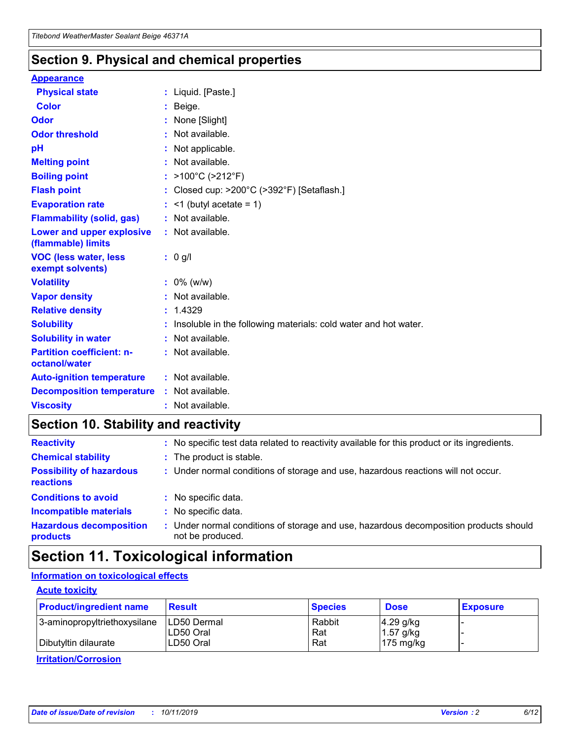## **Section 9. Physical and chemical properties**

#### **Appearance**

| <b>Physical state</b>                             | : Liquid. [Paste.]                                                |
|---------------------------------------------------|-------------------------------------------------------------------|
| Color                                             | Beige.                                                            |
| Odor                                              | None [Slight]                                                     |
| <b>Odor threshold</b>                             | : Not available.                                                  |
| рH                                                | : Not applicable.                                                 |
| <b>Melting point</b>                              | : Not available.                                                  |
| <b>Boiling point</b>                              | : $>100^{\circ}$ C ( $>212^{\circ}$ F)                            |
| <b>Flash point</b>                                | : Closed cup: $>200^{\circ}$ C ( $>392^{\circ}$ F) [Setaflash.]   |
| <b>Evaporation rate</b>                           | $:$ <1 (butyl acetate = 1)                                        |
| <b>Flammability (solid, gas)</b>                  | : Not available.                                                  |
| Lower and upper explosive<br>(flammable) limits   | : Not available.                                                  |
| <b>VOC (less water, less</b><br>exempt solvents)  | $: 0$ g/l                                                         |
| <b>Volatility</b>                                 | $: 0\%$ (w/w)                                                     |
| <b>Vapor density</b>                              | : Not available.                                                  |
| <b>Relative density</b>                           | : 1.4329                                                          |
| <b>Solubility</b>                                 | : Insoluble in the following materials: cold water and hot water. |
| <b>Solubility in water</b>                        | : Not available.                                                  |
| <b>Partition coefficient: n-</b><br>octanol/water | : Not available.                                                  |
| <b>Auto-ignition temperature</b>                  | : Not available.                                                  |
| <b>Decomposition temperature</b>                  | : Not available.                                                  |
| <b>Viscosity</b>                                  | : Not available.                                                  |

# **Section 10. Stability and reactivity**

| <b>Reactivity</b>                            |    | : No specific test data related to reactivity available for this product or its ingredients.            |
|----------------------------------------------|----|---------------------------------------------------------------------------------------------------------|
| <b>Chemical stability</b>                    |    | : The product is stable.                                                                                |
| <b>Possibility of hazardous</b><br>reactions |    | : Under normal conditions of storage and use, hazardous reactions will not occur.                       |
| <b>Conditions to avoid</b>                   |    | : No specific data.                                                                                     |
| <b>Incompatible materials</b>                | ٠. | No specific data.                                                                                       |
| <b>Hazardous decomposition</b><br>products   | ÷. | Under normal conditions of storage and use, hazardous decomposition products should<br>not be produced. |

# **Section 11. Toxicological information**

## **Information on toxicological effects**

#### **Acute toxicity**

| <b>Product/ingredient name</b> | <b>Result</b>           | <b>Species</b> | <b>Dose</b>                | <b>Exposure</b> |
|--------------------------------|-------------------------|----------------|----------------------------|-----------------|
| 3-aminopropyltriethoxysilane   | <b>ILD50 Dermal</b>     | Rabbit         | 4.29 g/kg                  |                 |
| Dibutyltin dilaurate           | ILD50 Oral<br>LD50 Oral | Rat<br>Rat     | $1.57$ g/kg<br>175 $mg/kg$ |                 |
|                                |                         |                |                            |                 |

**Irritation/Corrosion**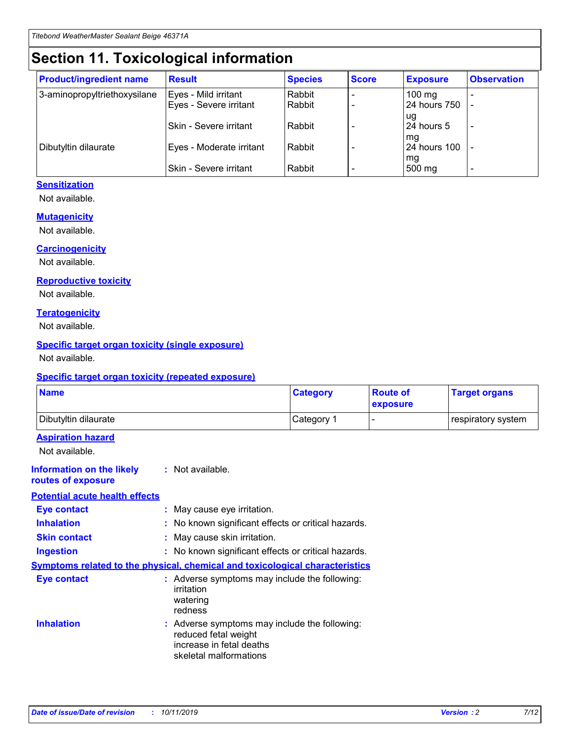# **Section 11. Toxicological information**

| <b>Product/ingredient name</b> | <b>Result</b>            | <b>Species</b> | <b>Score</b> | <b>Exposure</b>           | <b>Observation</b> |
|--------------------------------|--------------------------|----------------|--------------|---------------------------|--------------------|
| 3-aminopropyltriethoxysilane   | Eyes - Mild irritant     | Rabbit         |              | $100$ mg                  |                    |
|                                | Eyes - Severe irritant   | Rabbit         |              | 24 hours 750              |                    |
|                                |                          |                |              | ug                        |                    |
|                                | Skin - Severe irritant   | Rabbit         |              | 24 hours 5                | -                  |
| Dibutyltin dilaurate           | Eyes - Moderate irritant | Rabbit         |              | mq<br><b>24 hours 100</b> |                    |
|                                |                          |                |              | mg                        |                    |
|                                | Skin - Severe irritant   | Rabbit         |              | 500 mg                    |                    |

### **Sensitization**

Not available.

#### **Mutagenicity**

Not available.

#### **Carcinogenicity**

Not available.

#### **Reproductive toxicity**

Not available.

#### **Teratogenicity**

Not available.

#### **Specific target organ toxicity (single exposure)**

Not available.

#### **Specific target organ toxicity (repeated exposure)**

| <b>Name</b>                                                                  |                                                                                                                             | <b>Category</b> | <b>Route of</b><br>exposure  | <b>Target organs</b> |
|------------------------------------------------------------------------------|-----------------------------------------------------------------------------------------------------------------------------|-----------------|------------------------------|----------------------|
| Dibutyltin dilaurate                                                         |                                                                                                                             | Category 1      | $\qquad \qquad \blacksquare$ | respiratory system   |
| <b>Aspiration hazard</b><br>Not available.                                   |                                                                                                                             |                 |                              |                      |
| <b>Information on the likely</b><br>routes of exposure                       | : Not available.                                                                                                            |                 |                              |                      |
| <b>Potential acute health effects</b>                                        |                                                                                                                             |                 |                              |                      |
| <b>Eye contact</b>                                                           | : May cause eye irritation.                                                                                                 |                 |                              |                      |
| <b>Inhalation</b>                                                            | : No known significant effects or critical hazards.                                                                         |                 |                              |                      |
| <b>Skin contact</b>                                                          | : May cause skin irritation.                                                                                                |                 |                              |                      |
| <b>Ingestion</b>                                                             | : No known significant effects or critical hazards.                                                                         |                 |                              |                      |
| Symptoms related to the physical, chemical and toxicological characteristics |                                                                                                                             |                 |                              |                      |
| <b>Eye contact</b>                                                           | : Adverse symptoms may include the following:<br>irritation<br>watering<br>redness                                          |                 |                              |                      |
| <b>Inhalation</b>                                                            | : Adverse symptoms may include the following:<br>reduced fetal weight<br>increase in fetal deaths<br>skeletal malformations |                 |                              |                      |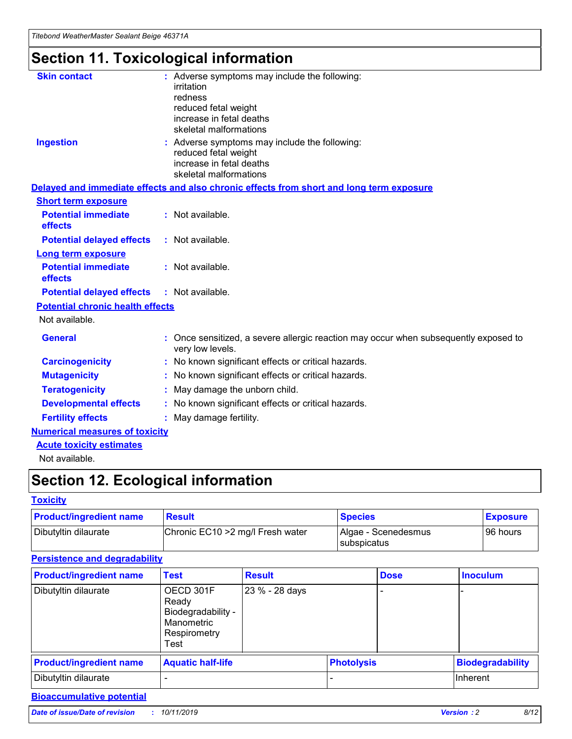# **Section 11. Toxicological information**

| <b>Skin contact</b>                     | : Adverse symptoms may include the following:                                                            |
|-----------------------------------------|----------------------------------------------------------------------------------------------------------|
|                                         | irritation                                                                                               |
|                                         | redness                                                                                                  |
|                                         | reduced fetal weight                                                                                     |
|                                         | increase in fetal deaths                                                                                 |
|                                         | skeletal malformations                                                                                   |
| <b>Ingestion</b>                        | : Adverse symptoms may include the following:                                                            |
|                                         | reduced fetal weight                                                                                     |
|                                         | increase in fetal deaths                                                                                 |
|                                         | skeletal malformations                                                                                   |
|                                         | Delayed and immediate effects and also chronic effects from short and long term exposure                 |
| <b>Short term exposure</b>              |                                                                                                          |
| <b>Potential immediate</b>              | : Not available.                                                                                         |
| effects                                 |                                                                                                          |
| <b>Potential delayed effects</b>        | : Not available.                                                                                         |
| Long term exposure                      |                                                                                                          |
| <b>Potential immediate</b>              | : Not available.                                                                                         |
| effects                                 |                                                                                                          |
| <b>Potential delayed effects</b>        | : Not available.                                                                                         |
| <b>Potential chronic health effects</b> |                                                                                                          |
| Not available.                          |                                                                                                          |
| <b>General</b>                          | : Once sensitized, a severe allergic reaction may occur when subsequently exposed to<br>very low levels. |
| <b>Carcinogenicity</b>                  | : No known significant effects or critical hazards.                                                      |
| <b>Mutagenicity</b>                     | : No known significant effects or critical hazards.                                                      |
| <b>Teratogenicity</b>                   | May damage the unborn child.                                                                             |
| <b>Developmental effects</b>            | : No known significant effects or critical hazards.                                                      |
| <b>Fertility effects</b>                | May damage fertility.                                                                                    |
| <b>Numerical measures of toxicity</b>   |                                                                                                          |
| <b>Acute toxicity estimates</b>         |                                                                                                          |
| الملمانة المستنقط فالمرابط              |                                                                                                          |

Not available.

# **Section 12. Ecological information**

#### **Toxicity**

| <b>Product/ingredient name</b> | <b>Result</b>                     | <b>Species</b>                       | <b>Exposure</b> |
|--------------------------------|-----------------------------------|--------------------------------------|-----------------|
| Dibutyltin dilaurate           | Chronic EC10 > 2 mg/l Fresh water | Algae - Scenedesmus<br>I subspicatus | l 96 hours      |

#### **Persistence and degradability**

| <b>Product/ingredient name</b> | Test                                                                           | <b>Result</b>  |                   | <b>Dose</b> | <b>Inoculum</b>         |
|--------------------------------|--------------------------------------------------------------------------------|----------------|-------------------|-------------|-------------------------|
| Dibutyltin dilaurate           | OECD 301F<br>Ready<br>Biodegradability -<br>Manometric<br>Respirometry<br>Test | 23 % - 28 days |                   |             |                         |
| <b>Product/ingredient name</b> | <b>Aquatic half-life</b>                                                       |                | <b>Photolysis</b> |             | <b>Biodegradability</b> |
| Dibutyltin dilaurate           |                                                                                |                |                   |             | Inherent                |

## **Bioaccumulative potential**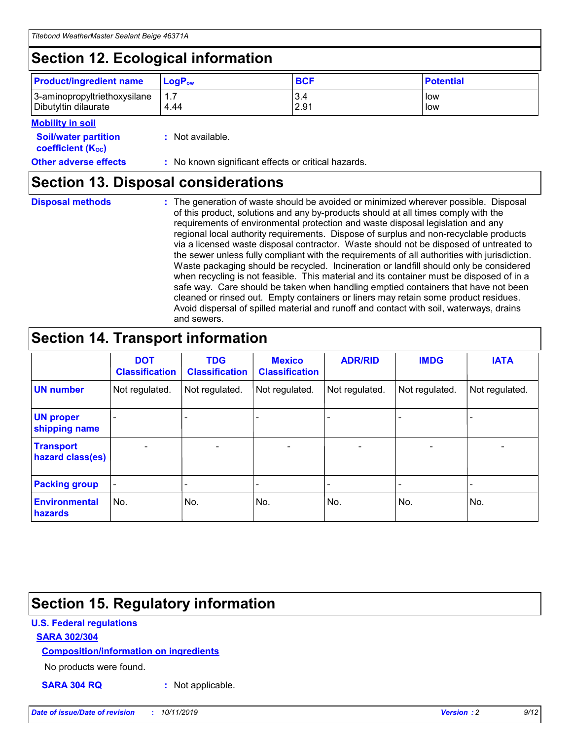# **Section 12. Ecological information**

| <b>Product/ingredient name</b> | $LoaPow$ | <b>BCF</b> | <b>Potential</b> |
|--------------------------------|----------|------------|------------------|
| 3-aminopropyltriethoxysilane   | 1.7      | 3.4        | low              |
| Dibutyltin dilaurate           | 4.44     | 2.91       | low              |

#### **Mobility in soil**

| <b>Soil/water partition</b><br>coefficient (K <sub>oc</sub> ) | : Not available.                                    |
|---------------------------------------------------------------|-----------------------------------------------------|
| <b>Other adverse effects</b>                                  | : No known significant effects or critical hazards. |

## **Section 13. Disposal considerations**

**Disposal methods :**

The generation of waste should be avoided or minimized wherever possible. Disposal of this product, solutions and any by-products should at all times comply with the requirements of environmental protection and waste disposal legislation and any regional local authority requirements. Dispose of surplus and non-recyclable products via a licensed waste disposal contractor. Waste should not be disposed of untreated to the sewer unless fully compliant with the requirements of all authorities with jurisdiction. Waste packaging should be recycled. Incineration or landfill should only be considered when recycling is not feasible. This material and its container must be disposed of in a safe way. Care should be taken when handling emptied containers that have not been cleaned or rinsed out. Empty containers or liners may retain some product residues. Avoid dispersal of spilled material and runoff and contact with soil, waterways, drains and sewers.

# **Section 14. Transport information**

|                                      | <b>DOT</b><br><b>Classification</b> | <b>TDG</b><br><b>Classification</b> | <b>Mexico</b><br><b>Classification</b> | <b>ADR/RID</b> | <b>IMDG</b>              | <b>IATA</b>              |
|--------------------------------------|-------------------------------------|-------------------------------------|----------------------------------------|----------------|--------------------------|--------------------------|
| <b>UN number</b>                     | Not regulated.                      | Not regulated.                      | Not regulated.                         | Not regulated. | Not regulated.           | Not regulated.           |
| <b>UN proper</b><br>shipping name    | $\blacksquare$                      |                                     |                                        |                |                          |                          |
| <b>Transport</b><br>hazard class(es) | $\blacksquare$                      | $\overline{\phantom{a}}$            | $\blacksquare$                         | $\blacksquare$ | $\overline{\phantom{a}}$ | $\blacksquare$           |
| <b>Packing group</b>                 | $\overline{\phantom{a}}$            | $\overline{\phantom{0}}$            | $\overline{\phantom{a}}$               | -              | $\overline{\phantom{0}}$ | $\overline{\phantom{a}}$ |
| <b>Environmental</b><br>hazards      | No.                                 | No.                                 | No.                                    | No.            | No.                      | No.                      |

# **Section 15. Regulatory information**

#### **U.S. Federal regulations**

#### **SARA 302/304**

#### **Composition/information on ingredients**

No products were found.

**SARA 304 RQ :** Not applicable.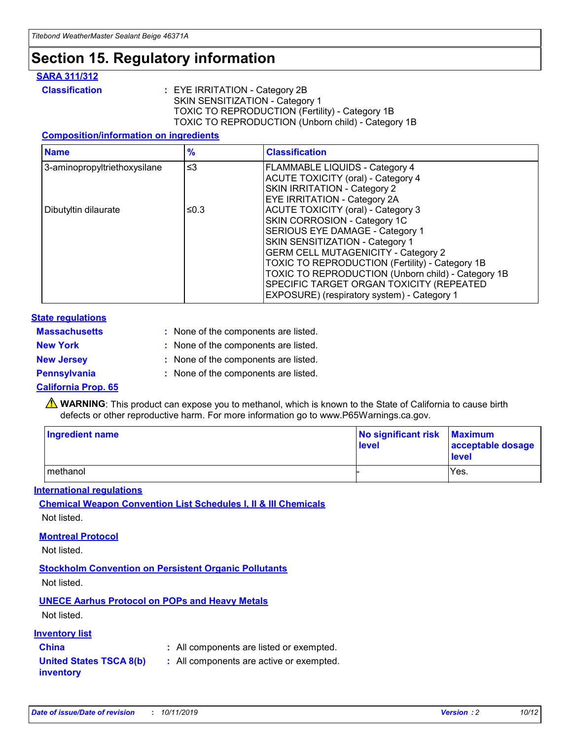# **Section 15. Regulatory information**

#### **SARA 311/312**

**Classification :** EYE IRRITATION - Category 2B SKIN SENSITIZATION - Category 1 TOXIC TO REPRODUCTION (Fertility) - Category 1B TOXIC TO REPRODUCTION (Unborn child) - Category 1B

#### **Composition/information on ingredients**

| <b>Name</b>                  | $\frac{9}{6}$ | <b>Classification</b>                                                                                            |
|------------------------------|---------------|------------------------------------------------------------------------------------------------------------------|
| 3-aminopropyltriethoxysilane | $\leq$ 3      | <b>FLAMMABLE LIQUIDS - Category 4</b><br><b>ACUTE TOXICITY (oral) - Category 4</b>                               |
|                              |               | SKIN IRRITATION - Category 2<br>EYE IRRITATION - Category 2A                                                     |
| Dibutyltin dilaurate         | ≤0.3          | ACUTE TOXICITY (oral) - Category 3<br>SKIN CORROSION - Category 1C                                               |
|                              |               | SERIOUS EYE DAMAGE - Category 1<br>SKIN SENSITIZATION - Category 1<br><b>GERM CELL MUTAGENICITY - Category 2</b> |
|                              |               | TOXIC TO REPRODUCTION (Fertility) - Category 1B<br>TOXIC TO REPRODUCTION (Unborn child) - Category 1B            |
|                              |               | SPECIFIC TARGET ORGAN TOXICITY (REPEATED<br>EXPOSURE) (respiratory system) - Category 1                          |

#### **State regulations**

| <b>Massachusetts</b> | : None of the components are listed. |
|----------------------|--------------------------------------|
| <b>New York</b>      | : None of the components are listed. |
| <b>New Jersey</b>    | : None of the components are listed. |
| <b>Pennsylvania</b>  | : None of the components are listed. |

#### **California Prop. 65**

**A** WARNING: This product can expose you to methanol, which is known to the State of California to cause birth defects or other reproductive harm. For more information go to www.P65Warnings.ca.gov.

| <b>Ingredient name</b> | No significant risk Maximum<br>level | acceptable dosage<br>level |
|------------------------|--------------------------------------|----------------------------|
| methanol               |                                      | Yes.                       |

#### **International regulations**

**Chemical Weapon Convention List Schedules I, II & III Chemicals** Not listed.

#### **Montreal Protocol**

Not listed.

#### **Stockholm Convention on Persistent Organic Pollutants**

Not listed.

## **UNECE Aarhus Protocol on POPs and Heavy Metals**

Not listed.

#### **Inventory list**

## **China :** All components are listed or exempted.

**United States TSCA 8(b) inventory :** All components are active or exempted.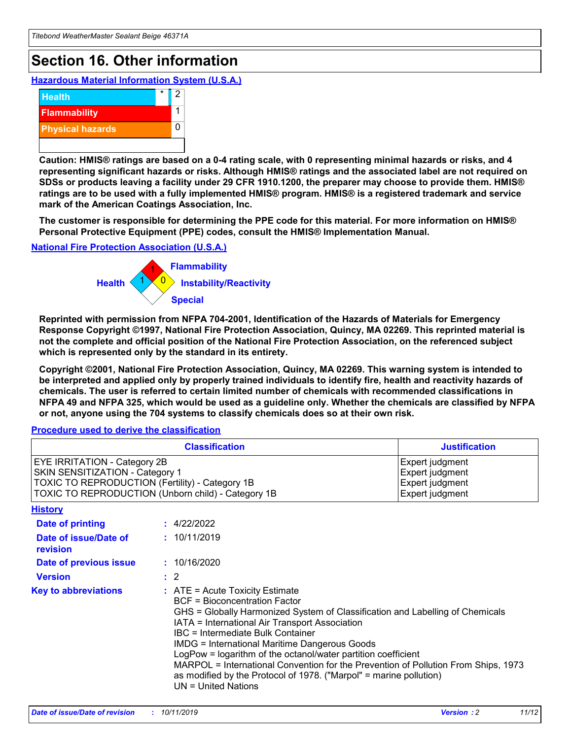# **Section 16. Other information**

**Hazardous Material Information System (U.S.A.)**



**Caution: HMIS® ratings are based on a 0-4 rating scale, with 0 representing minimal hazards or risks, and 4 representing significant hazards or risks. Although HMIS® ratings and the associated label are not required on SDSs or products leaving a facility under 29 CFR 1910.1200, the preparer may choose to provide them. HMIS® ratings are to be used with a fully implemented HMIS® program. HMIS® is a registered trademark and service mark of the American Coatings Association, Inc.**

**The customer is responsible for determining the PPE code for this material. For more information on HMIS® Personal Protective Equipment (PPE) codes, consult the HMIS® Implementation Manual.**

#### **National Fire Protection Association (U.S.A.)**



**Reprinted with permission from NFPA 704-2001, Identification of the Hazards of Materials for Emergency Response Copyright ©1997, National Fire Protection Association, Quincy, MA 02269. This reprinted material is not the complete and official position of the National Fire Protection Association, on the referenced subject which is represented only by the standard in its entirety.**

**Copyright ©2001, National Fire Protection Association, Quincy, MA 02269. This warning system is intended to be interpreted and applied only by properly trained individuals to identify fire, health and reactivity hazards of chemicals. The user is referred to certain limited number of chemicals with recommended classifications in NFPA 49 and NFPA 325, which would be used as a guideline only. Whether the chemicals are classified by NFPA or not, anyone using the 704 systems to classify chemicals does so at their own risk.**

**Procedure used to derive the classification**

| <b>Classification</b>                                                                                                                                                    |                                                                                                                                                  | <b>Justification</b>                                                                                                                                                                                                                                                                                                                                                                                                 |  |
|--------------------------------------------------------------------------------------------------------------------------------------------------------------------------|--------------------------------------------------------------------------------------------------------------------------------------------------|----------------------------------------------------------------------------------------------------------------------------------------------------------------------------------------------------------------------------------------------------------------------------------------------------------------------------------------------------------------------------------------------------------------------|--|
| EYE IRRITATION - Category 2B<br>SKIN SENSITIZATION - Category 1<br>TOXIC TO REPRODUCTION (Fertility) - Category 1B<br>TOXIC TO REPRODUCTION (Unborn child) - Category 1B |                                                                                                                                                  | Expert judgment<br>Expert judgment<br>Expert judgment<br>Expert judgment                                                                                                                                                                                                                                                                                                                                             |  |
| <b>History</b>                                                                                                                                                           |                                                                                                                                                  |                                                                                                                                                                                                                                                                                                                                                                                                                      |  |
| Date of printing                                                                                                                                                         | : 4/22/2022                                                                                                                                      |                                                                                                                                                                                                                                                                                                                                                                                                                      |  |
| Date of issue/Date of<br>revision                                                                                                                                        | : 10/11/2019                                                                                                                                     |                                                                                                                                                                                                                                                                                                                                                                                                                      |  |
| Date of previous issue                                                                                                                                                   | : 10/16/2020                                                                                                                                     |                                                                                                                                                                                                                                                                                                                                                                                                                      |  |
| <b>Version</b>                                                                                                                                                           | $\therefore$ 2                                                                                                                                   |                                                                                                                                                                                                                                                                                                                                                                                                                      |  |
| <b>Key to abbreviations</b>                                                                                                                                              | $\therefore$ ATE = Acute Toxicity Estimate<br><b>BCF</b> = Bioconcentration Factor<br>IBC = Intermediate Bulk Container<br>$UN = United Nations$ | GHS = Globally Harmonized System of Classification and Labelling of Chemicals<br>IATA = International Air Transport Association<br><b>IMDG = International Maritime Dangerous Goods</b><br>LogPow = logarithm of the octanol/water partition coefficient<br>MARPOL = International Convention for the Prevention of Pollution From Ships, 1973<br>as modified by the Protocol of 1978. ("Marpol" = marine pollution) |  |